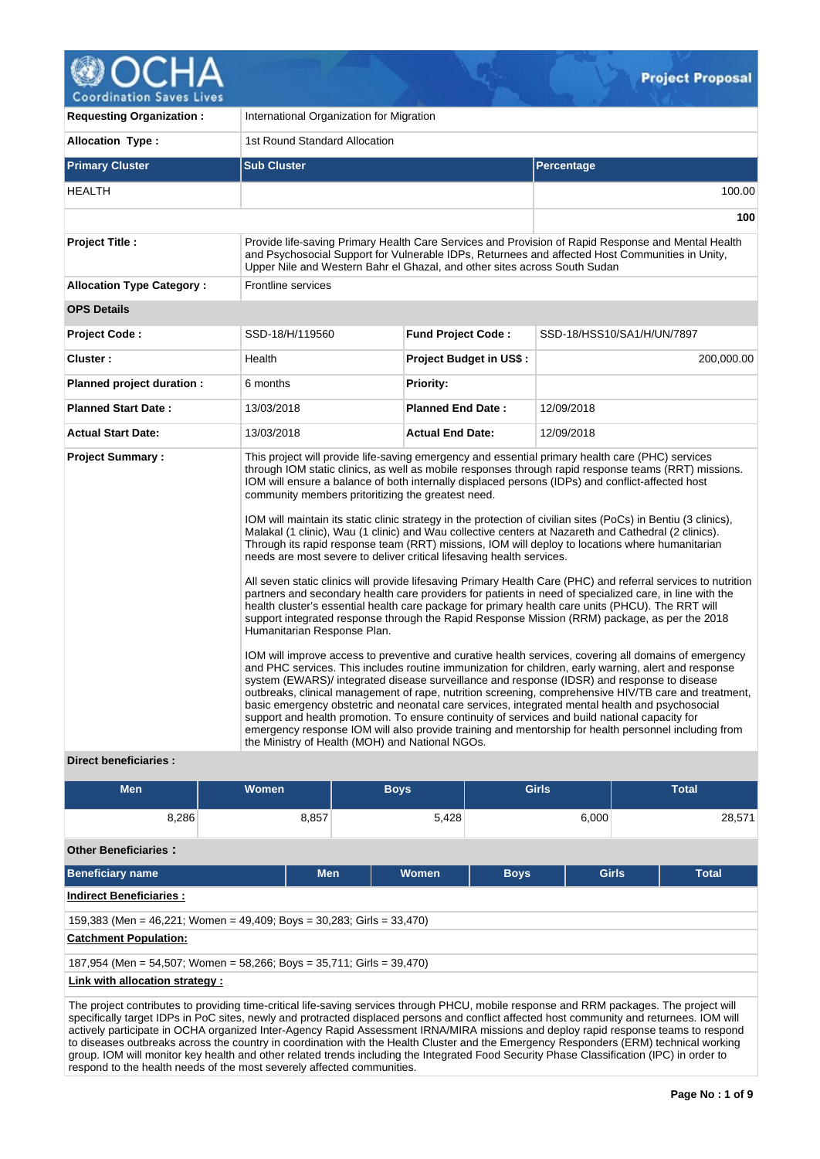

**Coordination Saves Lives** 

| <b>Requesting Organization:</b>                         | International Organization for Migration                                                                                             |                                                                           |                                                                                                                                                                                                                                                                                                                                                                                                                                                                                                                                                                                                                                                                                                                                                                                                                                                                                                                                                                                                                                                                                                                                                                                                                                                                                                                                                                                                                                                                                                                                                                                                                                                                                                                                                                                                                   |  |  |  |  |  |
|---------------------------------------------------------|--------------------------------------------------------------------------------------------------------------------------------------|---------------------------------------------------------------------------|-------------------------------------------------------------------------------------------------------------------------------------------------------------------------------------------------------------------------------------------------------------------------------------------------------------------------------------------------------------------------------------------------------------------------------------------------------------------------------------------------------------------------------------------------------------------------------------------------------------------------------------------------------------------------------------------------------------------------------------------------------------------------------------------------------------------------------------------------------------------------------------------------------------------------------------------------------------------------------------------------------------------------------------------------------------------------------------------------------------------------------------------------------------------------------------------------------------------------------------------------------------------------------------------------------------------------------------------------------------------------------------------------------------------------------------------------------------------------------------------------------------------------------------------------------------------------------------------------------------------------------------------------------------------------------------------------------------------------------------------------------------------------------------------------------------------|--|--|--|--|--|
| <b>Allocation Type:</b>                                 | 1st Round Standard Allocation                                                                                                        |                                                                           |                                                                                                                                                                                                                                                                                                                                                                                                                                                                                                                                                                                                                                                                                                                                                                                                                                                                                                                                                                                                                                                                                                                                                                                                                                                                                                                                                                                                                                                                                                                                                                                                                                                                                                                                                                                                                   |  |  |  |  |  |
| <b>Primary Cluster</b>                                  | <b>Sub Cluster</b>                                                                                                                   |                                                                           | Percentage                                                                                                                                                                                                                                                                                                                                                                                                                                                                                                                                                                                                                                                                                                                                                                                                                                                                                                                                                                                                                                                                                                                                                                                                                                                                                                                                                                                                                                                                                                                                                                                                                                                                                                                                                                                                        |  |  |  |  |  |
| <b>HEALTH</b>                                           |                                                                                                                                      |                                                                           | 100.00                                                                                                                                                                                                                                                                                                                                                                                                                                                                                                                                                                                                                                                                                                                                                                                                                                                                                                                                                                                                                                                                                                                                                                                                                                                                                                                                                                                                                                                                                                                                                                                                                                                                                                                                                                                                            |  |  |  |  |  |
|                                                         |                                                                                                                                      |                                                                           | 100                                                                                                                                                                                                                                                                                                                                                                                                                                                                                                                                                                                                                                                                                                                                                                                                                                                                                                                                                                                                                                                                                                                                                                                                                                                                                                                                                                                                                                                                                                                                                                                                                                                                                                                                                                                                               |  |  |  |  |  |
| <b>Project Title:</b>                                   |                                                                                                                                      | Upper Nile and Western Bahr el Ghazal, and other sites across South Sudan | Provide life-saving Primary Health Care Services and Provision of Rapid Response and Mental Health<br>and Psychosocial Support for Vulnerable IDPs, Returnees and affected Host Communities in Unity,                                                                                                                                                                                                                                                                                                                                                                                                                                                                                                                                                                                                                                                                                                                                                                                                                                                                                                                                                                                                                                                                                                                                                                                                                                                                                                                                                                                                                                                                                                                                                                                                             |  |  |  |  |  |
| <b>Allocation Type Category:</b>                        | <b>Frontline services</b>                                                                                                            |                                                                           |                                                                                                                                                                                                                                                                                                                                                                                                                                                                                                                                                                                                                                                                                                                                                                                                                                                                                                                                                                                                                                                                                                                                                                                                                                                                                                                                                                                                                                                                                                                                                                                                                                                                                                                                                                                                                   |  |  |  |  |  |
| <b>OPS Details</b>                                      |                                                                                                                                      |                                                                           |                                                                                                                                                                                                                                                                                                                                                                                                                                                                                                                                                                                                                                                                                                                                                                                                                                                                                                                                                                                                                                                                                                                                                                                                                                                                                                                                                                                                                                                                                                                                                                                                                                                                                                                                                                                                                   |  |  |  |  |  |
| <b>Project Code:</b>                                    | SSD-18/H/119560                                                                                                                      | <b>Fund Project Code:</b>                                                 | SSD-18/HSS10/SA1/H/UN/7897                                                                                                                                                                                                                                                                                                                                                                                                                                                                                                                                                                                                                                                                                                                                                                                                                                                                                                                                                                                                                                                                                                                                                                                                                                                                                                                                                                                                                                                                                                                                                                                                                                                                                                                                                                                        |  |  |  |  |  |
| Cluster:                                                | Health                                                                                                                               | <b>Project Budget in US\$:</b>                                            | 200,000.00                                                                                                                                                                                                                                                                                                                                                                                                                                                                                                                                                                                                                                                                                                                                                                                                                                                                                                                                                                                                                                                                                                                                                                                                                                                                                                                                                                                                                                                                                                                                                                                                                                                                                                                                                                                                        |  |  |  |  |  |
| Planned project duration :                              | 6 months                                                                                                                             | <b>Priority:</b>                                                          |                                                                                                                                                                                                                                                                                                                                                                                                                                                                                                                                                                                                                                                                                                                                                                                                                                                                                                                                                                                                                                                                                                                                                                                                                                                                                                                                                                                                                                                                                                                                                                                                                                                                                                                                                                                                                   |  |  |  |  |  |
| <b>Planned Start Date:</b>                              | 13/03/2018                                                                                                                           | <b>Planned End Date:</b>                                                  | 12/09/2018                                                                                                                                                                                                                                                                                                                                                                                                                                                                                                                                                                                                                                                                                                                                                                                                                                                                                                                                                                                                                                                                                                                                                                                                                                                                                                                                                                                                                                                                                                                                                                                                                                                                                                                                                                                                        |  |  |  |  |  |
| <b>Actual Start Date:</b>                               | 13/03/2018                                                                                                                           | <b>Actual End Date:</b>                                                   | 12/09/2018                                                                                                                                                                                                                                                                                                                                                                                                                                                                                                                                                                                                                                                                                                                                                                                                                                                                                                                                                                                                                                                                                                                                                                                                                                                                                                                                                                                                                                                                                                                                                                                                                                                                                                                                                                                                        |  |  |  |  |  |
| <b>Project Summary:</b><br><b>Direct beneficiaries:</b> | community members pritoritizing the greatest need.<br>Humanitarian Response Plan.<br>the Ministry of Health (MOH) and National NGOs. | needs are most severe to deliver critical lifesaving health services.     | This project will provide life-saving emergency and essential primary health care (PHC) services<br>through IOM static clinics, as well as mobile responses through rapid response teams (RRT) missions.<br>IOM will ensure a balance of both internally displaced persons (IDPs) and conflict-affected host<br>IOM will maintain its static clinic strategy in the protection of civilian sites (PoCs) in Bentiu (3 clinics),<br>Malakal (1 clinic), Wau (1 clinic) and Wau collective centers at Nazareth and Cathedral (2 clinics).<br>Through its rapid response team (RRT) missions, IOM will deploy to locations where humanitarian<br>All seven static clinics will provide lifesaving Primary Health Care (PHC) and referral services to nutrition<br>partners and secondary health care providers for patients in need of specialized care, in line with the<br>health cluster's essential health care package for primary health care units (PHCU). The RRT will<br>support integrated response through the Rapid Response Mission (RRM) package, as per the 2018<br>IOM will improve access to preventive and curative health services, covering all domains of emergency<br>and PHC services. This includes routine immunization for children, early warning, alert and response<br>system (EWARS)/ integrated disease surveillance and response (IDSR) and response to disease<br>outbreaks, clinical management of rape, nutrition screening, comprehensive HIV/TB care and treatment,<br>basic emergency obstetric and neonatal care services, integrated mental health and psychosocial<br>support and health promotion. To ensure continuity of services and build national capacity for<br>emergency response IOM will also provide training and mentorship for health personnel including from |  |  |  |  |  |

| <b>Men</b>                                                                                                                                                                                                                                                                                                                                                                                                                  | <b>Women</b> | <b>Boys</b>         | <b>Girls</b> |       | <b>Total</b> |  |  |  |  |  |
|-----------------------------------------------------------------------------------------------------------------------------------------------------------------------------------------------------------------------------------------------------------------------------------------------------------------------------------------------------------------------------------------------------------------------------|--------------|---------------------|--------------|-------|--------------|--|--|--|--|--|
| 8,286                                                                                                                                                                                                                                                                                                                                                                                                                       | 8,857        | 5,428               |              | 6,000 | 28.571       |  |  |  |  |  |
| <b>Other Beneficiaries:</b>                                                                                                                                                                                                                                                                                                                                                                                                 |              |                     |              |       |              |  |  |  |  |  |
| <b>Beneficiary name</b>                                                                                                                                                                                                                                                                                                                                                                                                     |              | <b>Men</b><br>Women | <b>Boys</b>  | Girls | <b>Total</b> |  |  |  |  |  |
| <b>Indirect Beneficiaries:</b>                                                                                                                                                                                                                                                                                                                                                                                              |              |                     |              |       |              |  |  |  |  |  |
| 159,383 (Men = 46,221; Women = 49,409; Boys = 30,283; Girls = 33,470)                                                                                                                                                                                                                                                                                                                                                       |              |                     |              |       |              |  |  |  |  |  |
| <b>Catchment Population:</b>                                                                                                                                                                                                                                                                                                                                                                                                |              |                     |              |       |              |  |  |  |  |  |
| 187,954 (Men = 54,507; Women = 58,266; Boys = 35,711; Girls = 39,470)                                                                                                                                                                                                                                                                                                                                                       |              |                     |              |       |              |  |  |  |  |  |
| Link with allocation strategy :                                                                                                                                                                                                                                                                                                                                                                                             |              |                     |              |       |              |  |  |  |  |  |
| The project contributes to providing time-critical life-saving services through PHCU, mobile response and RRM packages. The project will<br>specifically target IDPs in PoC sites, newly and protracted displaced persons and conflict affected host community and returnees. IOM will<br>estively notticipate in OCUA experient later Agonay Dopid Agonament IDNA MIDA missione and deploy repid represent teams to repond |              |                     |              |       |              |  |  |  |  |  |

actively participate in OCHA organized Inter-Agency Rapid Assessment IRNA/MIRA missions and deploy rapid response teams to respond to diseases outbreaks across the country in coordination with the Health Cluster and the Emergency Responders (ERM) technical working group. IOM will monitor key health and other related trends including the Integrated Food Security Phase Classification (IPC) in order to respond to the health needs of the most severely affected communities.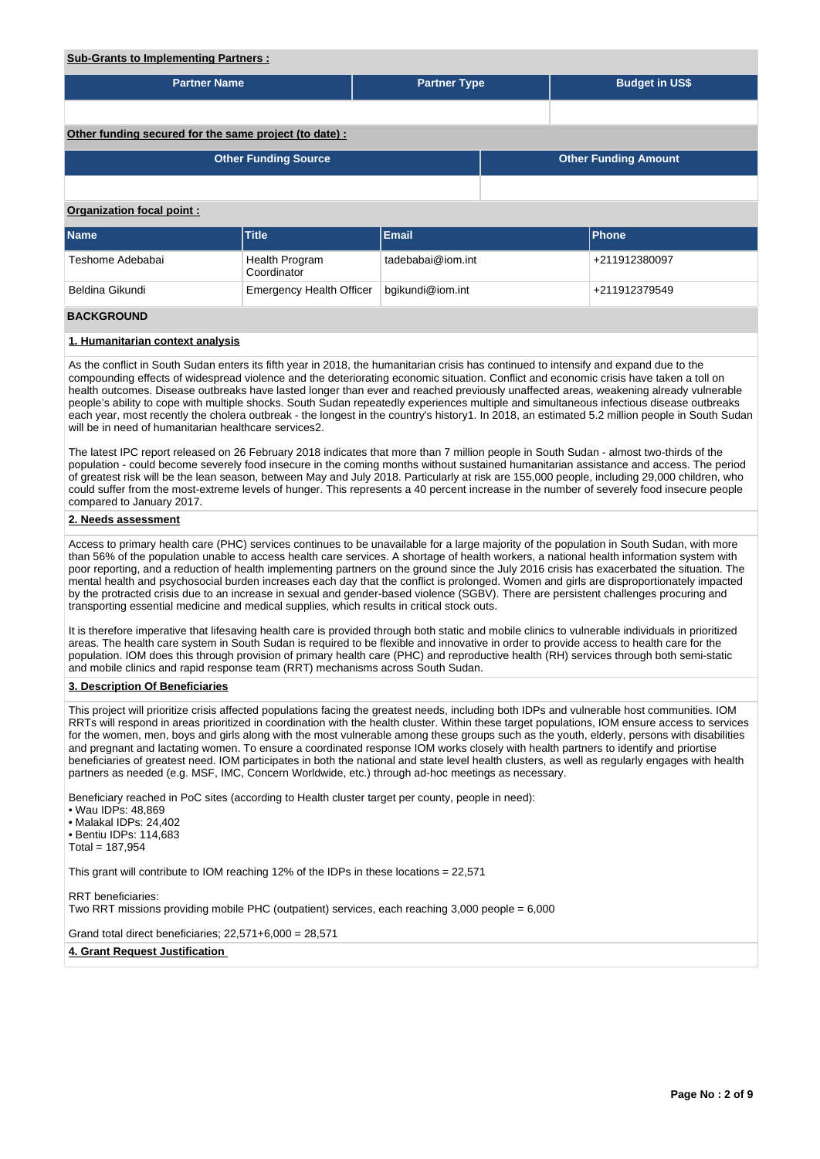# **Sub-Grants to Implementing Partners :**

| <b>Partner Name</b>                                    |                                 | <b>Partner Type</b> |  | <b>Budget in US\$</b>       |  |  |  |  |  |  |
|--------------------------------------------------------|---------------------------------|---------------------|--|-----------------------------|--|--|--|--|--|--|
|                                                        |                                 |                     |  |                             |  |  |  |  |  |  |
| Other funding secured for the same project (to date) : |                                 |                     |  |                             |  |  |  |  |  |  |
|                                                        | <b>Other Funding Source</b>     |                     |  | <b>Other Funding Amount</b> |  |  |  |  |  |  |
|                                                        |                                 |                     |  |                             |  |  |  |  |  |  |
| Organization focal point:                              |                                 |                     |  |                             |  |  |  |  |  |  |
| <b>Name</b>                                            | Title                           | <b>Email</b>        |  | <b>Phone</b>                |  |  |  |  |  |  |
| Teshome Adebabai                                       | Health Program<br>Coordinator   | tadebabai@iom.int   |  | +211912380097               |  |  |  |  |  |  |
| Beldina Gikundi                                        | <b>Emergency Health Officer</b> | bgikundi@iom.int    |  | +211912379549               |  |  |  |  |  |  |
| <b>BACKGROUND</b>                                      |                                 |                     |  |                             |  |  |  |  |  |  |

## **1. Humanitarian context analysis**

As the conflict in South Sudan enters its fifth year in 2018, the humanitarian crisis has continued to intensify and expand due to the compounding effects of widespread violence and the deteriorating economic situation. Conflict and economic crisis have taken a toll on health outcomes. Disease outbreaks have lasted longer than ever and reached previously unaffected areas, weakening already vulnerable people's ability to cope with multiple shocks. South Sudan repeatedly experiences multiple and simultaneous infectious disease outbreaks each year, most recently the cholera outbreak - the longest in the country's history1. In 2018, an estimated 5.2 million people in South Sudan will be in need of humanitarian healthcare services2.

The latest IPC report released on 26 February 2018 indicates that more than 7 million people in South Sudan - almost two-thirds of the population - could become severely food insecure in the coming months without sustained humanitarian assistance and access. The period of greatest risk will be the lean season, between May and July 2018. Particularly at risk are 155,000 people, including 29,000 children, who could suffer from the most-extreme levels of hunger. This represents a 40 percent increase in the number of severely food insecure people compared to January 2017.

### **2. Needs assessment**

Access to primary health care (PHC) services continues to be unavailable for a large majority of the population in South Sudan, with more than 56% of the population unable to access health care services. A shortage of health workers, a national health information system with poor reporting, and a reduction of health implementing partners on the ground since the July 2016 crisis has exacerbated the situation. The mental health and psychosocial burden increases each day that the conflict is prolonged. Women and girls are disproportionately impacted by the protracted crisis due to an increase in sexual and gender-based violence (SGBV). There are persistent challenges procuring and transporting essential medicine and medical supplies, which results in critical stock outs.

It is therefore imperative that lifesaving health care is provided through both static and mobile clinics to vulnerable individuals in prioritized areas. The health care system in South Sudan is required to be flexible and innovative in order to provide access to health care for the population. IOM does this through provision of primary health care (PHC) and reproductive health (RH) services through both semi-static and mobile clinics and rapid response team (RRT) mechanisms across South Sudan.

### **3. Description Of Beneficiaries**

This project will prioritize crisis affected populations facing the greatest needs, including both IDPs and vulnerable host communities. IOM RRTs will respond in areas prioritized in coordination with the health cluster. Within these target populations, IOM ensure access to services for the women, men, boys and girls along with the most vulnerable among these groups such as the youth, elderly, persons with disabilities and pregnant and lactating women. To ensure a coordinated response IOM works closely with health partners to identify and priortise beneficiaries of greatest need. IOM participates in both the national and state level health clusters, as well as regularly engages with health partners as needed (e.g. MSF, IMC, Concern Worldwide, etc.) through ad-hoc meetings as necessary.

Beneficiary reached in PoC sites (according to Health cluster target per county, people in need):

• Wau IDPs: 48,869

• Malakal IDPs: 24,402

• Bentiu IDPs: 114,683

 $Total = 187.954$ 

This grant will contribute to IOM reaching 12% of the IDPs in these locations = 22,571

RRT beneficiaries: Two RRT missions providing mobile PHC (outpatient) services, each reaching 3,000 people = 6,000

Grand total direct beneficiaries; 22,571+6,000 = 28,571

#### **4. Grant Request Justification**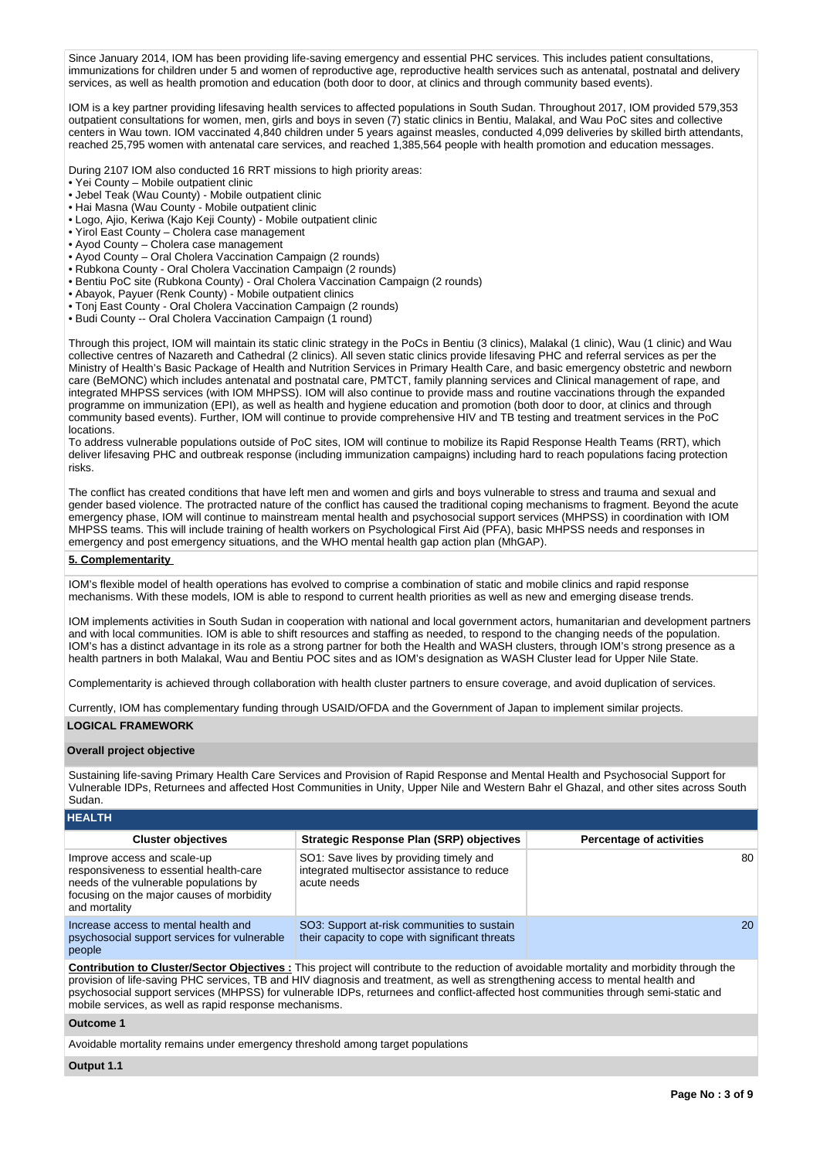Since January 2014, IOM has been providing life-saving emergency and essential PHC services. This includes patient consultations, immunizations for children under 5 and women of reproductive age, reproductive health services such as antenatal, postnatal and delivery services, as well as health promotion and education (both door to door, at clinics and through community based events).

IOM is a key partner providing lifesaving health services to affected populations in South Sudan. Throughout 2017, IOM provided 579,353 outpatient consultations for women, men, girls and boys in seven (7) static clinics in Bentiu, Malakal, and Wau PoC sites and collective centers in Wau town. IOM vaccinated 4,840 children under 5 years against measles, conducted 4,099 deliveries by skilled birth attendants, reached 25,795 women with antenatal care services, and reached 1,385,564 people with health promotion and education messages.

During 2107 IOM also conducted 16 RRT missions to high priority areas:

- Yei County Mobile outpatient clinic
- Jebel Teak (Wau County) Mobile outpatient clinic
- Hai Masna (Wau County Mobile outpatient clinic
- Logo, Ajio, Keriwa (Kajo Keji County) Mobile outpatient clinic
- Yirol East County Cholera case management
- Ayod County Cholera case management
- Ayod County Oral Cholera Vaccination Campaign (2 rounds)
- Rubkona County Oral Cholera Vaccination Campaign (2 rounds)
- Bentiu PoC site (Rubkona County) Oral Cholera Vaccination Campaign (2 rounds)
- Abayok, Payuer (Renk County) Mobile outpatient clinics
- Tonj East County Oral Cholera Vaccination Campaign (2 rounds)
- Budi County -- Oral Cholera Vaccination Campaign (1 round)

Through this project, IOM will maintain its static clinic strategy in the PoCs in Bentiu (3 clinics), Malakal (1 clinic), Wau (1 clinic) and Wau collective centres of Nazareth and Cathedral (2 clinics). All seven static clinics provide lifesaving PHC and referral services as per the Ministry of Health's Basic Package of Health and Nutrition Services in Primary Health Care, and basic emergency obstetric and newborn care (BeMONC) which includes antenatal and postnatal care, PMTCT, family planning services and Clinical management of rape, and integrated MHPSS services (with IOM MHPSS). IOM will also continue to provide mass and routine vaccinations through the expanded programme on immunization (EPI), as well as health and hygiene education and promotion (both door to door, at clinics and through community based events). Further, IOM will continue to provide comprehensive HIV and TB testing and treatment services in the PoC locations.

To address vulnerable populations outside of PoC sites, IOM will continue to mobilize its Rapid Response Health Teams (RRT), which deliver lifesaving PHC and outbreak response (including immunization campaigns) including hard to reach populations facing protection risks.

The conflict has created conditions that have left men and women and girls and boys vulnerable to stress and trauma and sexual and gender based violence. The protracted nature of the conflict has caused the traditional coping mechanisms to fragment. Beyond the acute emergency phase, IOM will continue to mainstream mental health and psychosocial support services (MHPSS) in coordination with IOM MHPSS teams. This will include training of health workers on Psychological First Aid (PFA), basic MHPSS needs and responses in emergency and post emergency situations, and the WHO mental health gap action plan (MhGAP).

### **5. Complementarity**

IOM's flexible model of health operations has evolved to comprise a combination of static and mobile clinics and rapid response mechanisms. With these models, IOM is able to respond to current health priorities as well as new and emerging disease trends.

IOM implements activities in South Sudan in cooperation with national and local government actors, humanitarian and development partners and with local communities. IOM is able to shift resources and staffing as needed, to respond to the changing needs of the population. IOM's has a distinct advantage in its role as a strong partner for both the Health and WASH clusters, through IOM's strong presence as a health partners in both Malakal, Wau and Bentiu POC sites and as IOM's designation as WASH Cluster lead for Upper Nile State.

Complementarity is achieved through collaboration with health cluster partners to ensure coverage, and avoid duplication of services.

Currently, IOM has complementary funding through USAID/OFDA and the Government of Japan to implement similar projects. **LOGICAL FRAMEWORK**

### **Overall project objective**

Sustaining life-saving Primary Health Care Services and Provision of Rapid Response and Mental Health and Psychosocial Support for Vulnerable IDPs, Returnees and affected Host Communities in Unity, Upper Nile and Western Bahr el Ghazal, and other sites across South Sudan.

| <b>HEALTH</b>                                                                                                                                                                  |                                                                                                       |                                 |
|--------------------------------------------------------------------------------------------------------------------------------------------------------------------------------|-------------------------------------------------------------------------------------------------------|---------------------------------|
| <b>Cluster objectives</b>                                                                                                                                                      | <b>Strategic Response Plan (SRP) objectives</b>                                                       | <b>Percentage of activities</b> |
| Improve access and scale-up<br>responsiveness to essential health-care<br>needs of the vulnerable populations by<br>focusing on the major causes of morbidity<br>and mortality | SO1: Save lives by providing timely and<br>integrated multisector assistance to reduce<br>acute needs | 80                              |
| Increase access to mental health and<br>psychosocial support services for vulnerable<br>people                                                                                 | SO3: Support at-risk communities to sustain<br>their capacity to cope with significant threats        | <b>20</b>                       |

**Contribution to Cluster/Sector Objectives :** This project will contribute to the reduction of avoidable mortality and morbidity through the provision of life-saving PHC services, TB and HIV diagnosis and treatment, as well as strengthening access to mental health and psychosocial support services (MHPSS) for vulnerable IDPs, returnees and conflict-affected host communities through semi-static and mobile services, as well as rapid response mechanisms.

## **Outcome 1**

Avoidable mortality remains under emergency threshold among target populations

**Output 1.1**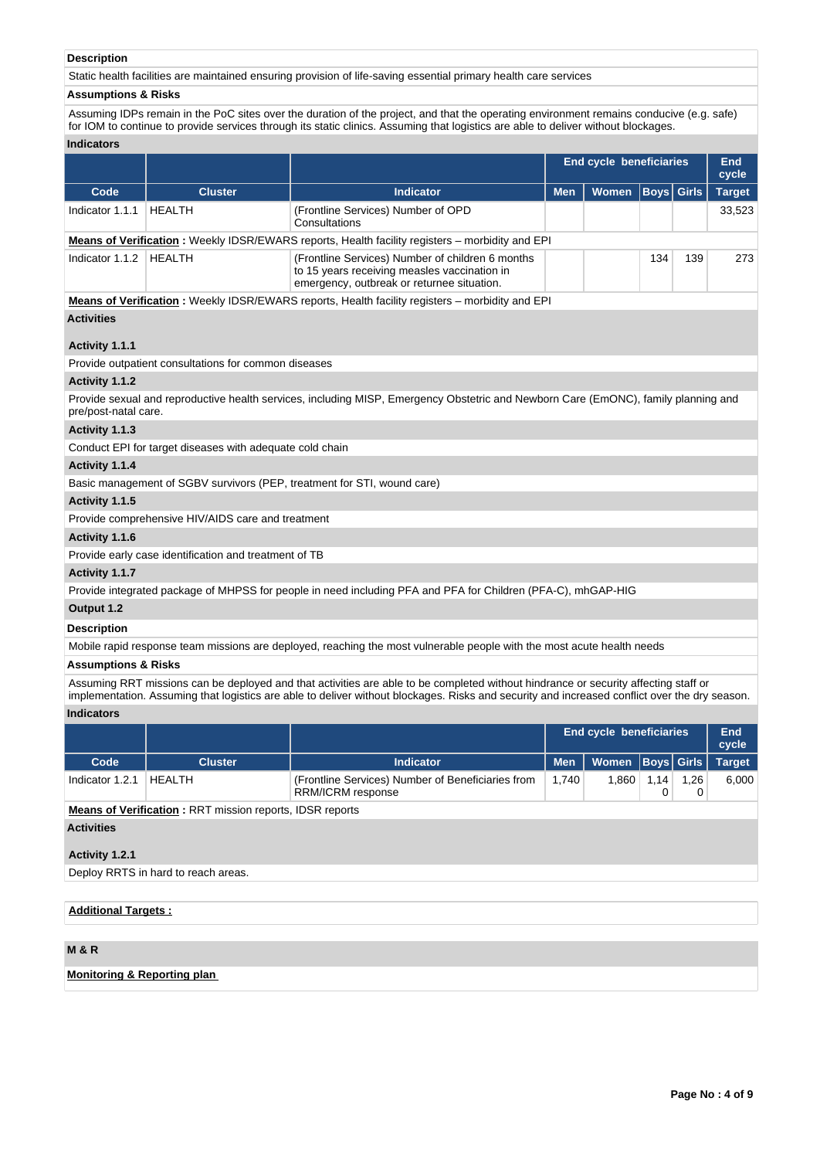# **Description**

Static health facilities are maintained ensuring provision of life-saving essential primary health care services

### **Assumptions & Risks**

Assuming IDPs remain in the PoC sites over the duration of the project, and that the operating environment remains conducive (e.g. safe) for IOM to continue to provide services through its static clinics. Assuming that logistics are able to deliver without blockages.

| <b>Indicators</b> |
|-------------------|
|-------------------|

| mulcators            |                                                          |                                                                                                                                                |                                |  |                   |     |                     |
|----------------------|----------------------------------------------------------|------------------------------------------------------------------------------------------------------------------------------------------------|--------------------------------|--|-------------------|-----|---------------------|
|                      |                                                          |                                                                                                                                                | <b>End cycle beneficiaries</b> |  |                   |     | <b>End</b><br>cycle |
| Code                 | <b>Cluster</b>                                           | <b>Indicator</b>                                                                                                                               | <b>Women</b><br><b>Men</b>     |  | <b>Boys</b> Girls |     | <b>Target</b>       |
| Indicator 1.1.1      | <b>HEALTH</b>                                            | (Frontline Services) Number of OPD<br>Consultations                                                                                            |                                |  |                   |     | 33,523              |
|                      |                                                          | <b>Means of Verification:</b> Weekly IDSR/EWARS reports, Health facility registers – morbidity and EPI                                         |                                |  |                   |     |                     |
| Indicator 1.1.2      | HEALTH                                                   | (Frontline Services) Number of children 6 months<br>to 15 years receiving measles vaccination in<br>emergency, outbreak or returnee situation. |                                |  | 134               | 139 | 273                 |
|                      |                                                          | <b>Means of Verification:</b> Weekly IDSR/EWARS reports, Health facility registers – morbidity and EPI                                         |                                |  |                   |     |                     |
| <b>Activities</b>    |                                                          |                                                                                                                                                |                                |  |                   |     |                     |
| Activity 1.1.1       |                                                          |                                                                                                                                                |                                |  |                   |     |                     |
|                      | Provide outpatient consultations for common diseases     |                                                                                                                                                |                                |  |                   |     |                     |
| Activity 1.1.2       |                                                          |                                                                                                                                                |                                |  |                   |     |                     |
| pre/post-natal care. |                                                          | Provide sexual and reproductive health services, including MISP, Emergency Obstetric and Newborn Care (EmONC), family planning and             |                                |  |                   |     |                     |
| Activity 1.1.3       |                                                          |                                                                                                                                                |                                |  |                   |     |                     |
|                      | Conduct EPI for target diseases with adequate cold chain |                                                                                                                                                |                                |  |                   |     |                     |
| Activity 1.1.4       |                                                          |                                                                                                                                                |                                |  |                   |     |                     |
|                      |                                                          | Basic management of SGBV survivors (PEP, treatment for STI, wound care)                                                                        |                                |  |                   |     |                     |
| Activity 1.1.5       |                                                          |                                                                                                                                                |                                |  |                   |     |                     |
|                      | Provide comprehensive HIV/AIDS care and treatment        |                                                                                                                                                |                                |  |                   |     |                     |
| Activity 1.1.6       |                                                          |                                                                                                                                                |                                |  |                   |     |                     |

Provide early case identification and treatment of TB

# **Activity 1.1.7**

Provide integrated package of MHPSS for people in need including PFA and PFA for Children (PFA-C), mhGAP-HIG

# **Output 1.2**

**Description**

Mobile rapid response team missions are deployed, reaching the most vulnerable people with the most acute health needs

# **Assumptions & Risks**

Assuming RRT missions can be deployed and that activities are able to be completed without hindrance or security affecting staff or implementation. Assuming that logistics are able to deliver without blockages. Risks and security and increased conflict over the dry season.

# **Indicators**

|                   |                                                                 |                                                                        |            | End cycle beneficiaries |      |           | <b>End</b><br>cycle |  |  |  |
|-------------------|-----------------------------------------------------------------|------------------------------------------------------------------------|------------|-------------------------|------|-----------|---------------------|--|--|--|
| Code              | <b>Cluster</b>                                                  | <b>Indicator</b>                                                       | <b>Men</b> | Women Boys Girls        |      |           | <b>Target</b>       |  |  |  |
| Indicator 1.2.1   | <b>HEALTH</b>                                                   | (Frontline Services) Number of Beneficiaries from<br>RRM/ICRM response | 1,740      | 1,860                   | 1.14 | 1,26<br>0 | 6,000               |  |  |  |
|                   | <b>Means of Verification: RRT mission reports, IDSR reports</b> |                                                                        |            |                         |      |           |                     |  |  |  |
| <b>Activities</b> |                                                                 |                                                                        |            |                         |      |           |                     |  |  |  |
| Activity 1.2.1    |                                                                 |                                                                        |            |                         |      |           |                     |  |  |  |

Deploy RRTS in hard to reach areas.

# **Additional Targets :**

# **M & R**

# **Monitoring & Reporting plan**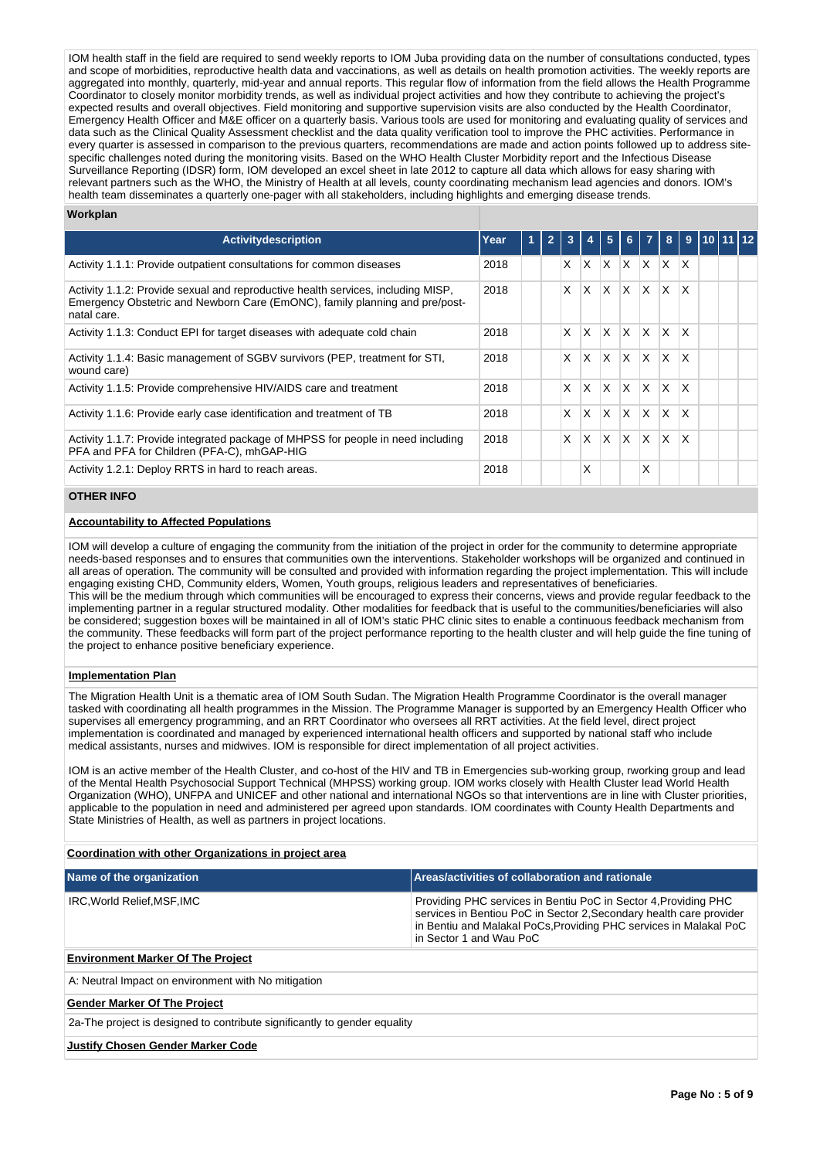IOM health staff in the field are required to send weekly reports to IOM Juba providing data on the number of consultations conducted, types and scope of morbidities, reproductive health data and vaccinations, as well as details on health promotion activities. The weekly reports are aggregated into monthly, quarterly, mid-year and annual reports. This regular flow of information from the field allows the Health Programme Coordinator to closely monitor morbidity trends, as well as individual project activities and how they contribute to achieving the project's expected results and overall objectives. Field monitoring and supportive supervision visits are also conducted by the Health Coordinator, Emergency Health Officer and M&E officer on a quarterly basis. Various tools are used for monitoring and evaluating quality of services and data such as the Clinical Quality Assessment checklist and the data quality verification tool to improve the PHC activities. Performance in every quarter is assessed in comparison to the previous quarters, recommendations are made and action points followed up to address sitespecific challenges noted during the monitoring visits. Based on the WHO Health Cluster Morbidity report and the Infectious Disease Surveillance Reporting (IDSR) form, IOM developed an excel sheet in late 2012 to capture all data which allows for easy sharing with relevant partners such as the WHO, the Ministry of Health at all levels, county coordinating mechanism lead agencies and donors. IOM's health team disseminates a quarterly one-pager with all stakeholders, including highlights and emerging disease trends.

### **Workplan**

| <b>Activity description</b>                                                                                                                                                    | Year | 1 | 3  | $\boldsymbol{A}$ | 5            | 6                       | $\overline{7}$          | 8 <sup>1</sup> | -9                      | 10 11 12 |  |
|--------------------------------------------------------------------------------------------------------------------------------------------------------------------------------|------|---|----|------------------|--------------|-------------------------|-------------------------|----------------|-------------------------|----------|--|
| Activity 1.1.1: Provide outpatient consultations for common diseases                                                                                                           | 2018 |   | X. | <b>X</b>         | ΙX.          | $X$ $X$ $X$             |                         |                | $\mathsf{I} \mathsf{X}$ |          |  |
| Activity 1.1.2: Provide sexual and reproductive health services, including MISP,<br>Emergency Obstetric and Newborn Care (EmONC), family planning and pre/post-<br>natal care. | 2018 |   | X  | $\mathsf{X}$     | ΙX.          | $ X $ $ X $             |                         | $\mathsf{X}$   | $\mathsf{X}$            |          |  |
| Activity 1.1.3: Conduct EPI for target diseases with adequate cold chain                                                                                                       | 2018 |   | X  | $\mathsf{x}$     | <sup>X</sup> | $\mathsf{X} \mathsf{X}$ |                         | lx.            | ΙX.                     |          |  |
| Activity 1.1.4: Basic management of SGBV survivors (PEP, treatment for STI,<br>wound care)                                                                                     | 2018 |   | X  | X                | <sup>X</sup> | ΙX.                     | $\mathsf{X}$            | IX.            | ΙX                      |          |  |
| Activity 1.1.5: Provide comprehensive HIV/AIDS care and treatment                                                                                                              | 2018 |   | X  | $\times$         | <sup>X</sup> | $\mathsf{X} \mathsf{X}$ |                         | lx.            | ΙX.                     |          |  |
| Activity 1.1.6: Provide early case identification and treatment of TB                                                                                                          | 2018 |   | X  | $\mathsf{x}$     | ΙX.          | $\mathsf{X}$            | $\mathsf{I} \mathsf{X}$ | IX.            | $\mathsf{\chi}$         |          |  |
| Activity 1.1.7: Provide integrated package of MHPSS for people in need including<br>PFA and PFA for Children (PFA-C), mhGAP-HIG                                                | 2018 |   | X  | X                | <sup>X</sup> | $\mathsf{X}$            | IX.                     | lx.            | ΙX                      |          |  |
| Activity 1.2.1: Deploy RRTS in hard to reach areas.                                                                                                                            | 2018 |   |    | X                |              |                         | X                       |                |                         |          |  |

# **OTHER INFO**

## **Accountability to Affected Populations**

IOM will develop a culture of engaging the community from the initiation of the project in order for the community to determine appropriate needs-based responses and to ensures that communities own the interventions. Stakeholder workshops will be organized and continued in all areas of operation. The community will be consulted and provided with information regarding the project implementation. This will include engaging existing CHD, Community elders, Women, Youth groups, religious leaders and representatives of beneficiaries. This will be the medium through which communities will be encouraged to express their concerns, views and provide regular feedback to the implementing partner in a regular structured modality. Other modalities for feedback that is useful to the communities/beneficiaries will also be considered; suggestion boxes will be maintained in all of IOM's static PHC clinic sites to enable a continuous feedback mechanism from the community. These feedbacks will form part of the project performance reporting to the health cluster and will help guide the fine tuning of the project to enhance positive beneficiary experience.

#### **Implementation Plan**

The Migration Health Unit is a thematic area of IOM South Sudan. The Migration Health Programme Coordinator is the overall manager tasked with coordinating all health programmes in the Mission. The Programme Manager is supported by an Emergency Health Officer who supervises all emergency programming, and an RRT Coordinator who oversees all RRT activities. At the field level, direct project implementation is coordinated and managed by experienced international health officers and supported by national staff who include medical assistants, nurses and midwives. IOM is responsible for direct implementation of all project activities.

IOM is an active member of the Health Cluster, and co-host of the HIV and TB in Emergencies sub-working group, rworking group and lead of the Mental Health Psychosocial Support Technical (MHPSS) working group. IOM works closely with Health Cluster lead World Health Organization (WHO), UNFPA and UNICEF and other national and international NGOs so that interventions are in line with Cluster priorities, applicable to the population in need and administered per agreed upon standards. IOM coordinates with County Health Departments and State Ministries of Health, as well as partners in project locations.

#### **Coordination with other Organizations in project area**

| Name of the organization    | Areas/activities of collaboration and rationale                                                                                                                                                                                        |
|-----------------------------|----------------------------------------------------------------------------------------------------------------------------------------------------------------------------------------------------------------------------------------|
| IRC, World Relief, MSF, IMC | Providing PHC services in Bentiu PoC in Sector 4, Providing PHC<br>services in Bentiou PoC in Sector 2, Secondary health care provider<br>in Bentiu and Malakal PoCs, Providing PHC services in Malakal PoC<br>in Sector 1 and Wau PoC |

# **Environment Marker Of The Project**

A: Neutral Impact on environment with No mitigation

### **Gender Marker Of The Project**

2a-The project is designed to contribute significantly to gender equality

#### **Justify Chosen Gender Marker Code**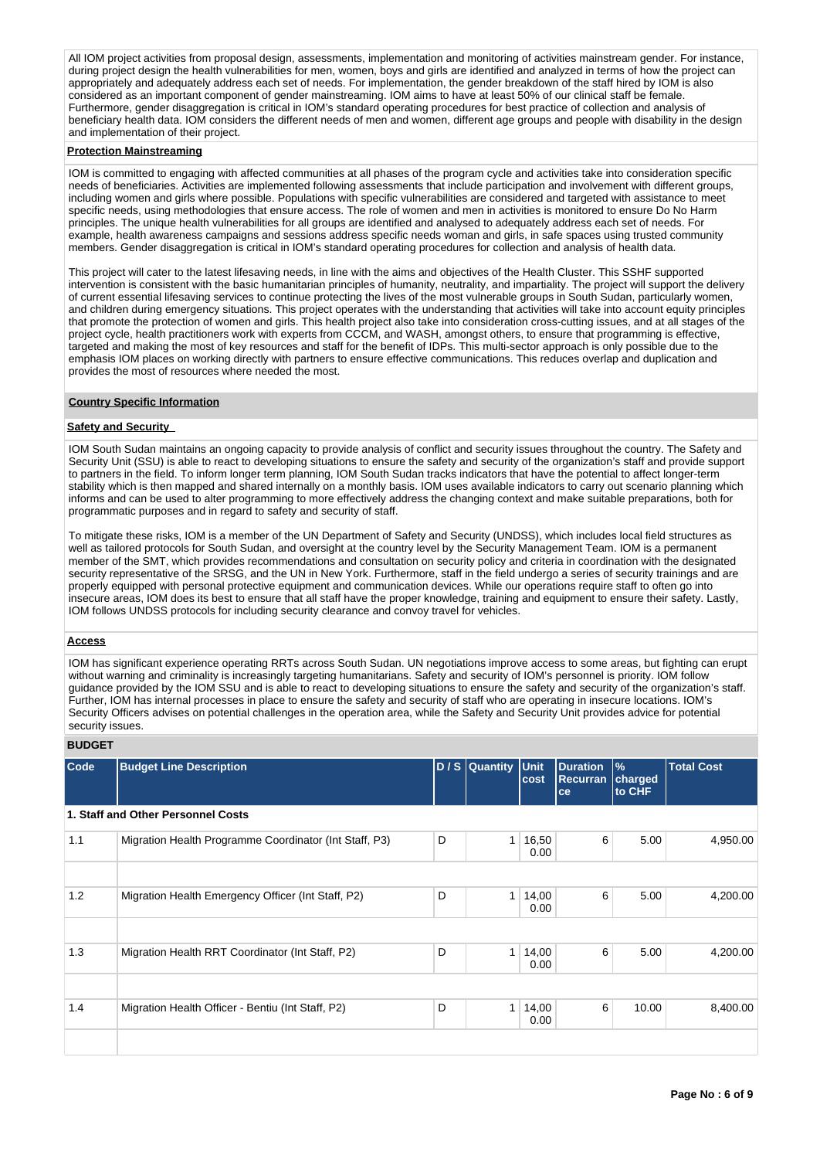All IOM project activities from proposal design, assessments, implementation and monitoring of activities mainstream gender. For instance, during project design the health vulnerabilities for men, women, boys and girls are identified and analyzed in terms of how the project can appropriately and adequately address each set of needs. For implementation, the gender breakdown of the staff hired by IOM is also considered as an important component of gender mainstreaming. IOM aims to have at least 50% of our clinical staff be female. Furthermore, gender disaggregation is critical in IOM's standard operating procedures for best practice of collection and analysis of beneficiary health data. IOM considers the different needs of men and women, different age groups and people with disability in the design and implementation of their project.

### **Protection Mainstreaming**

IOM is committed to engaging with affected communities at all phases of the program cycle and activities take into consideration specific needs of beneficiaries. Activities are implemented following assessments that include participation and involvement with different groups, including women and girls where possible. Populations with specific vulnerabilities are considered and targeted with assistance to meet specific needs, using methodologies that ensure access. The role of women and men in activities is monitored to ensure Do No Harm principles. The unique health vulnerabilities for all groups are identified and analysed to adequately address each set of needs. For example, health awareness campaigns and sessions address specific needs woman and girls, in safe spaces using trusted community members. Gender disaggregation is critical in IOM's standard operating procedures for collection and analysis of health data.

This project will cater to the latest lifesaving needs, in line with the aims and objectives of the Health Cluster. This SSHF supported intervention is consistent with the basic humanitarian principles of humanity, neutrality, and impartiality. The project will support the delivery of current essential lifesaving services to continue protecting the lives of the most vulnerable groups in South Sudan, particularly women, and children during emergency situations. This project operates with the understanding that activities will take into account equity principles that promote the protection of women and girls. This health project also take into consideration cross-cutting issues, and at all stages of the project cycle, health practitioners work with experts from CCCM, and WASH, amongst others, to ensure that programming is effective, targeted and making the most of key resources and staff for the benefit of IDPs. This multi-sector approach is only possible due to the emphasis IOM places on working directly with partners to ensure effective communications. This reduces overlap and duplication and provides the most of resources where needed the most.

# **Country Specific Information**

## **Safety and Security**

IOM South Sudan maintains an ongoing capacity to provide analysis of conflict and security issues throughout the country. The Safety and Security Unit (SSU) is able to react to developing situations to ensure the safety and security of the organization's staff and provide support to partners in the field. To inform longer term planning, IOM South Sudan tracks indicators that have the potential to affect longer-term stability which is then mapped and shared internally on a monthly basis. IOM uses available indicators to carry out scenario planning which informs and can be used to alter programming to more effectively address the changing context and make suitable preparations, both for programmatic purposes and in regard to safety and security of staff.

To mitigate these risks, IOM is a member of the UN Department of Safety and Security (UNDSS), which includes local field structures as well as tailored protocols for South Sudan, and oversight at the country level by the Security Management Team. IOM is a permanent member of the SMT, which provides recommendations and consultation on security policy and criteria in coordination with the designated security representative of the SRSG, and the UN in New York. Furthermore, staff in the field undergo a series of security trainings and are properly equipped with personal protective equipment and communication devices. While our operations require staff to often go into insecure areas, IOM does its best to ensure that all staff have the proper knowledge, training and equipment to ensure their safety. Lastly, IOM follows UNDSS protocols for including security clearance and convoy travel for vehicles.

## **Access**

IOM has significant experience operating RRTs across South Sudan. UN negotiations improve access to some areas, but fighting can erupt without warning and criminality is increasingly targeting humanitarians. Safety and security of IOM's personnel is priority. IOM follow guidance provided by the IOM SSU and is able to react to developing situations to ensure the safety and security of the organization's staff. Further, IOM has internal processes in place to ensure the safety and security of staff who are operating in insecure locations. IOM's Security Officers advises on potential challenges in the operation area, while the Safety and Security Unit provides advice for potential security issues.

# **BUDGET**

| Code | <b>Budget Line Description</b>                         |   | D / S Quantity | Unit<br>cost  | <b>Duration</b><br><b>Recurran</b><br>ce | $\frac{9}{6}$<br>charged<br>to CHF | <b>Total Cost</b> |
|------|--------------------------------------------------------|---|----------------|---------------|------------------------------------------|------------------------------------|-------------------|
|      | 1. Staff and Other Personnel Costs                     |   |                |               |                                          |                                    |                   |
| 1.1  | Migration Health Programme Coordinator (Int Staff, P3) | D | 1              | 16,50<br>0.00 | 6                                        | 5.00                               | 4,950.00          |
|      |                                                        |   |                |               |                                          |                                    |                   |
| 1.2  | Migration Health Emergency Officer (Int Staff, P2)     | D | $\mathbf{1}$   | 14,00<br>0.00 | 6                                        | 5.00                               | 4,200.00          |
|      |                                                        |   |                |               |                                          |                                    |                   |
| 1.3  | Migration Health RRT Coordinator (Int Staff, P2)       | D | $\mathbf{1}$   | 14,00<br>0.00 | 6                                        | 5.00                               | 4,200.00          |
|      |                                                        |   |                |               |                                          |                                    |                   |
| 1.4  | Migration Health Officer - Bentiu (Int Staff, P2)      | D | 1              | 14,00<br>0.00 | 6                                        | 10.00                              | 8,400.00          |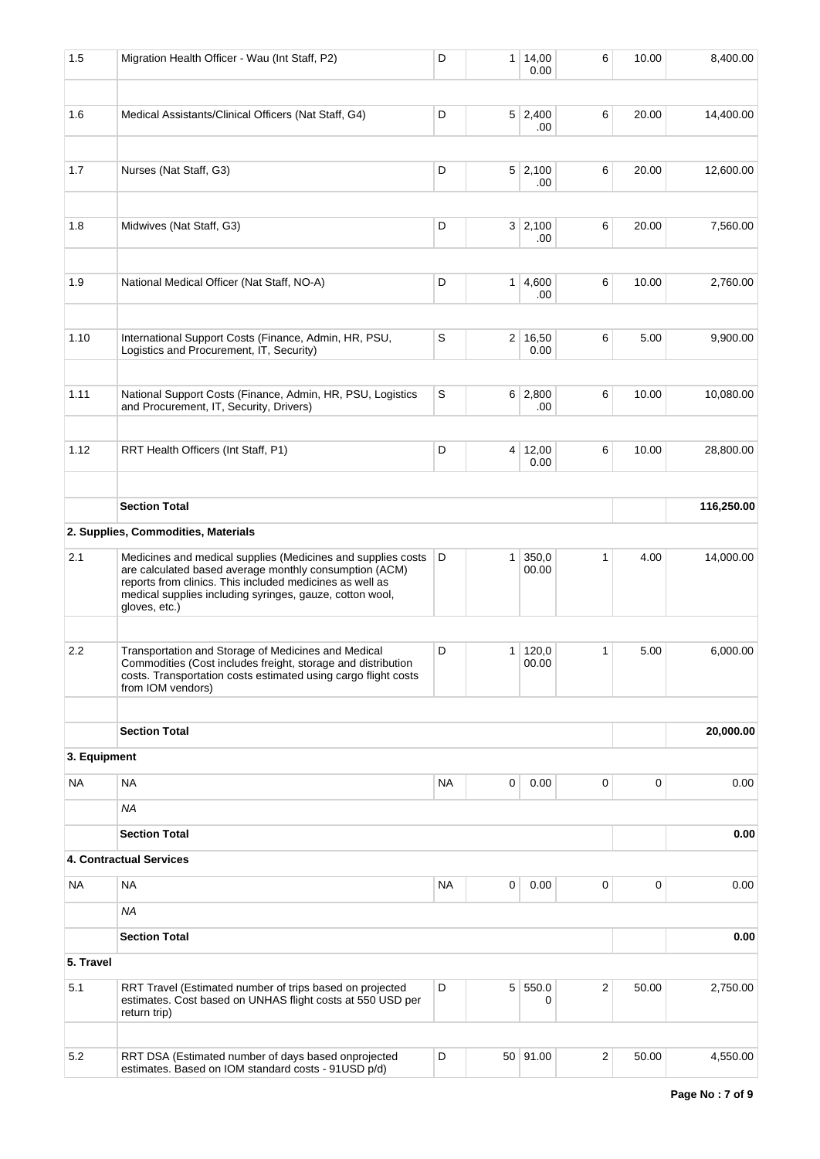| 1.5          | Migration Health Officer - Wau (Int Staff, P2)                                                                                                                                                                                                                  | D           |   | 1   14,00<br>0.00       | 6              | 10.00 | 8,400.00   |
|--------------|-----------------------------------------------------------------------------------------------------------------------------------------------------------------------------------------------------------------------------------------------------------------|-------------|---|-------------------------|----------------|-------|------------|
| 1.6          | Medical Assistants/Clinical Officers (Nat Staff, G4)                                                                                                                                                                                                            | D           |   | $5 \mid 2,400$<br>.00   | 6              | 20.00 | 14,400.00  |
| 1.7          | Nurses (Nat Staff, G3)                                                                                                                                                                                                                                          | D           |   | $5 \mid 2,100$<br>.00   | 6              | 20.00 | 12,600.00  |
| 1.8          | Midwives (Nat Staff, G3)                                                                                                                                                                                                                                        | D           |   | 3 2,100<br>.00          | 6              | 20.00 | 7,560.00   |
| 1.9          | National Medical Officer (Nat Staff, NO-A)                                                                                                                                                                                                                      | D           |   | $1 \mid 4,600$<br>.00   | 6              | 10.00 | 2,760.00   |
| 1.10         | International Support Costs (Finance, Admin, HR, PSU,<br>Logistics and Procurement, IT, Security)                                                                                                                                                               | S           |   | 2 16,50<br>0.00         | 6              | 5.00  | 9,900.00   |
| 1.11         | National Support Costs (Finance, Admin, HR, PSU, Logistics<br>and Procurement, IT, Security, Drivers)                                                                                                                                                           | $\mathbb S$ |   | $6 \mid 2,800$<br>.00   | 6              | 10.00 | 10,080.00  |
| 1.12         | RRT Health Officers (Int Staff, P1)                                                                                                                                                                                                                             | D           |   | 4 12,00<br>0.00         | 6              | 10.00 | 28,800.00  |
|              | <b>Section Total</b>                                                                                                                                                                                                                                            |             |   |                         |                |       | 116,250.00 |
|              | 2. Supplies, Commodities, Materials                                                                                                                                                                                                                             |             |   |                         |                |       |            |
| 2.1          | Medicines and medical supplies (Medicines and supplies costs<br>are calculated based average monthly consumption (ACM)<br>reports from clinics. This included medicines as well as<br>medical supplies including syringes, gauze, cotton wool,<br>gloves, etc.) | D           | 1 | 350,0<br>00.00          | 1              | 4.00  | 14,000.00  |
|              |                                                                                                                                                                                                                                                                 |             |   |                         |                |       |            |
| 2.2          | Transportation and Storage of Medicines and Medical<br>Commodities (Cost includes freight, storage and distribution<br>costs. Transportation costs estimated using cargo flight costs<br>from IOM vendors)                                                      | D           |   | $1 \mid 120,0$<br>00.00 | 1              | 5.00  | 6,000.00   |
|              |                                                                                                                                                                                                                                                                 |             |   |                         |                |       |            |
|              | <b>Section Total</b>                                                                                                                                                                                                                                            |             |   |                         |                |       | 20,000.00  |
| 3. Equipment |                                                                                                                                                                                                                                                                 |             |   |                         |                |       |            |
| NA           | <b>NA</b>                                                                                                                                                                                                                                                       | NA          | 0 | 0.00                    | 0              | 0     | 0.00       |
|              | ΝA                                                                                                                                                                                                                                                              |             |   |                         |                |       |            |
|              | <b>Section Total</b>                                                                                                                                                                                                                                            |             |   |                         |                |       | 0.00       |
|              | 4. Contractual Services                                                                                                                                                                                                                                         |             |   |                         |                |       |            |
| NA           | <b>NA</b>                                                                                                                                                                                                                                                       | NA          | 0 | 0.00                    | 0              | 0     | 0.00       |
|              | NA                                                                                                                                                                                                                                                              |             |   |                         |                |       |            |
|              | <b>Section Total</b>                                                                                                                                                                                                                                            |             |   |                         |                |       | 0.00       |
| 5. Travel    |                                                                                                                                                                                                                                                                 |             |   |                         |                |       |            |
| 5.1          | RRT Travel (Estimated number of trips based on projected<br>estimates. Cost based on UNHAS flight costs at 550 USD per<br>return trip)                                                                                                                          | D           |   | 5 550.0<br>0            | $\overline{2}$ | 50.00 | 2,750.00   |
|              |                                                                                                                                                                                                                                                                 |             |   |                         |                |       |            |
| $5.2\,$      | RRT DSA (Estimated number of days based onprojected<br>estimates. Based on IOM standard costs - 91USD p/d)                                                                                                                                                      | D           |   | 50 91.00                | 2              | 50.00 | 4,550.00   |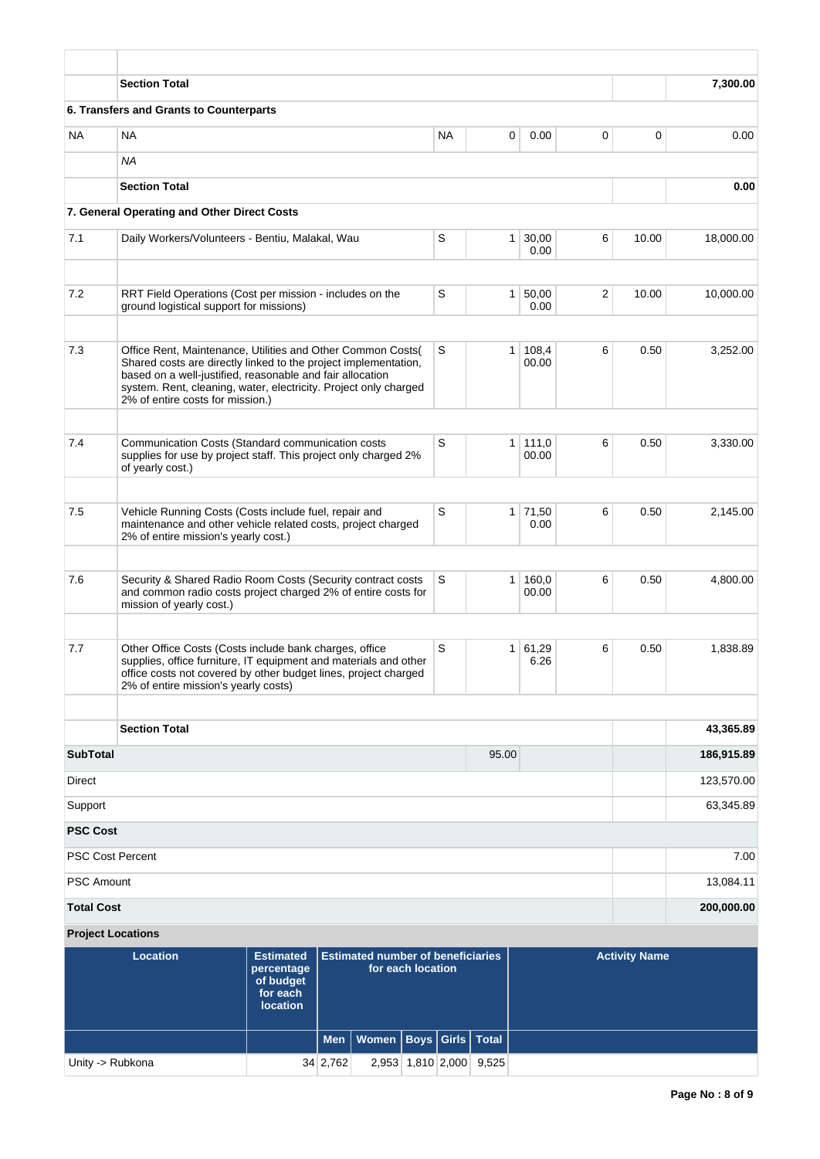|                   | <b>Section Total</b>                                                                                                                                                                                                                                                                                |                                          |           |                |                        |   |                      | 7,300.00   |
|-------------------|-----------------------------------------------------------------------------------------------------------------------------------------------------------------------------------------------------------------------------------------------------------------------------------------------------|------------------------------------------|-----------|----------------|------------------------|---|----------------------|------------|
|                   | 6. Transfers and Grants to Counterparts                                                                                                                                                                                                                                                             |                                          |           |                |                        |   |                      |            |
| NA.               | <b>NA</b>                                                                                                                                                                                                                                                                                           |                                          | <b>NA</b> | 0              | 0.00                   | 0 | 0                    | 0.00       |
|                   | ΝA                                                                                                                                                                                                                                                                                                  |                                          |           |                |                        |   |                      |            |
|                   | <b>Section Total</b>                                                                                                                                                                                                                                                                                |                                          |           |                |                        |   |                      | 0.00       |
|                   | 7. General Operating and Other Direct Costs                                                                                                                                                                                                                                                         |                                          |           |                |                        |   |                      |            |
| 7.1               | Daily Workers/Volunteers - Bentiu, Malakal, Wau                                                                                                                                                                                                                                                     |                                          | S         |                | $1 \mid 30,00$<br>0.00 | 6 | 10.00                | 18,000.00  |
| 7.2               | RRT Field Operations (Cost per mission - includes on the<br>ground logistical support for missions)                                                                                                                                                                                                 |                                          | S         |                | 1 50,00<br>0.00        | 2 | 10.00                | 10,000.00  |
| 7.3               | Office Rent, Maintenance, Utilities and Other Common Costs(<br>Shared costs are directly linked to the project implementation,<br>based on a well-justified, reasonable and fair allocation<br>system. Rent, cleaning, water, electricity. Project only charged<br>2% of entire costs for mission.) |                                          | S         | 1 <sup>1</sup> | 108,4<br>00.00         | 6 | 0.50                 | 3,252.00   |
| 7.4               | Communication Costs (Standard communication costs<br>supplies for use by project staff. This project only charged 2%<br>of yearly cost.)                                                                                                                                                            |                                          | S         |                | 1   111,0<br>00.00     | 6 | 0.50                 | 3,330.00   |
| 7.5               | Vehicle Running Costs (Costs include fuel, repair and<br>maintenance and other vehicle related costs, project charged<br>2% of entire mission's yearly cost.)                                                                                                                                       |                                          | S         |                | $1 \mid 71,50$<br>0.00 | 6 | 0.50                 | 2,145.00   |
| 7.6               | Security & Shared Radio Room Costs (Security contract costs<br>and common radio costs project charged 2% of entire costs for<br>mission of yearly cost.)                                                                                                                                            |                                          | S         | 1 <sup>1</sup> | 160,0<br>00.00         | 6 | 0.50                 | 4,800.00   |
| 7.7               | Other Office Costs (Costs include bank charges, office<br>supplies, office furniture, IT equipment and materials and other<br>office costs not covered by other budget lines, project charged<br>2% of entire mission's yearly costs)                                                               |                                          | S         |                | 1   61,29<br>6.26      | 6 | 0.50                 | 1,838.89   |
|                   | <b>Section Total</b>                                                                                                                                                                                                                                                                                |                                          |           |                |                        |   |                      | 43,365.89  |
| <b>SubTotal</b>   |                                                                                                                                                                                                                                                                                                     |                                          |           | 95.00          |                        |   |                      | 186,915.89 |
| Direct            |                                                                                                                                                                                                                                                                                                     |                                          |           |                |                        |   |                      | 123,570.00 |
| Support           |                                                                                                                                                                                                                                                                                                     |                                          |           |                |                        |   |                      | 63,345.89  |
| <b>PSC Cost</b>   |                                                                                                                                                                                                                                                                                                     |                                          |           |                |                        |   |                      |            |
|                   | <b>PSC Cost Percent</b>                                                                                                                                                                                                                                                                             |                                          |           |                |                        |   |                      | 7.00       |
| <b>PSC Amount</b> |                                                                                                                                                                                                                                                                                                     |                                          |           |                |                        |   |                      | 13,084.11  |
| <b>Total Cost</b> |                                                                                                                                                                                                                                                                                                     |                                          |           |                |                        |   |                      | 200,000.00 |
|                   | <b>Project Locations</b>                                                                                                                                                                                                                                                                            |                                          |           |                |                        |   |                      |            |
|                   | <b>Location</b><br><b>Estimated</b>                                                                                                                                                                                                                                                                 | <b>Estimated number of beneficiaries</b> |           |                |                        |   | <b>Activity Name</b> |            |

| Location         | Estimated Estimated number of beneficiaries<br>percentage<br>of budget<br>for each<br><b>location</b> |          |                                    | for each location |                         | <b>Activity Name</b> |  |  |
|------------------|-------------------------------------------------------------------------------------------------------|----------|------------------------------------|-------------------|-------------------------|----------------------|--|--|
|                  |                                                                                                       |          | Men   Women   Boys   Girls   Total |                   |                         |                      |  |  |
| Unity -> Rubkona |                                                                                                       | 34 2,762 |                                    |                   | 2,953 1,810 2,000 9,525 |                      |  |  |